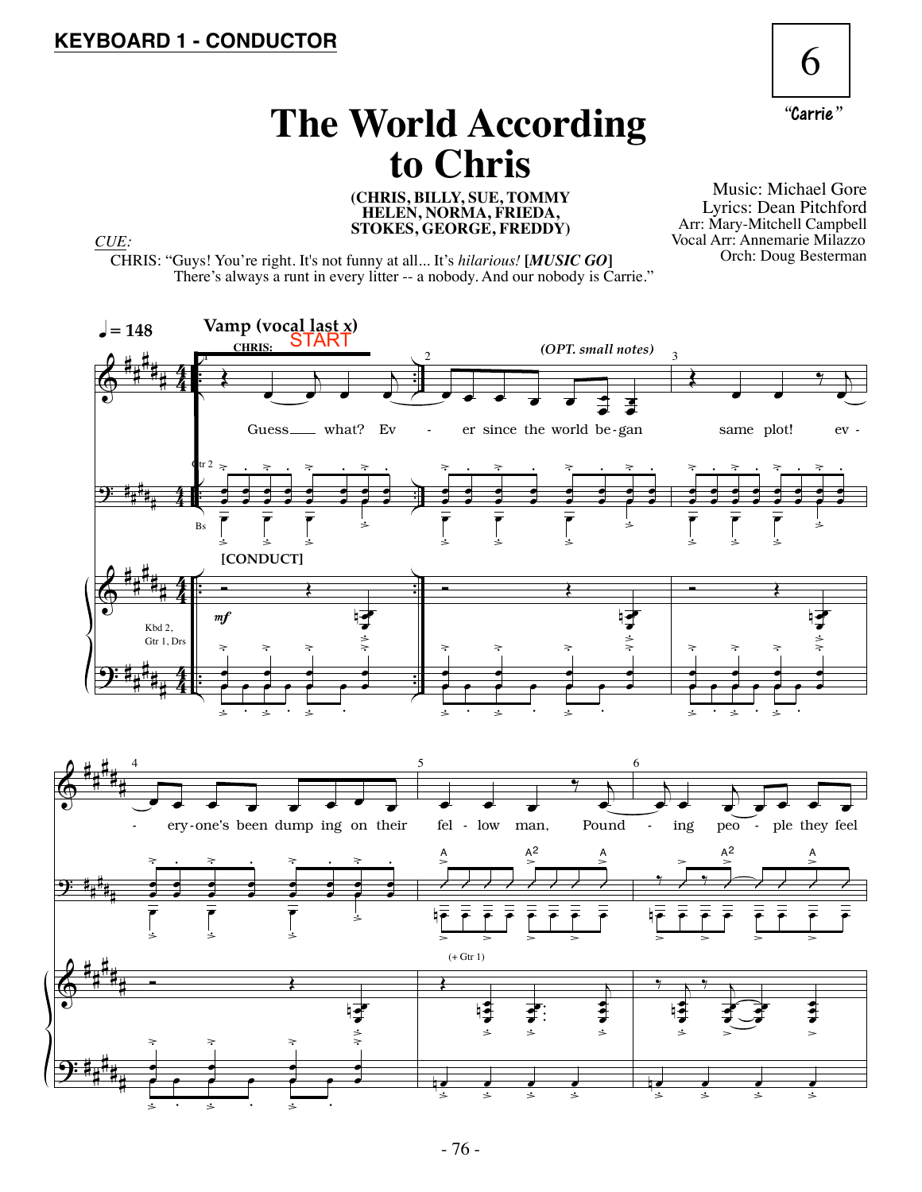

## **The World According to Chris**

**(CHRIS, BILLY, SUE, TOMMY HELEN, NORMA, FRIEDA, STOKES, GEORGE, FREDDY)** *CUE:*

Music: Michael Gore Lyrics: Dean Pitchford Arr: Mary-Mitchell Campbell Vocal Arr: Annemarie Milazzo Orch: Doug Besterman

CHRIS: "Guys! You're right. It's not funny at all... It's *hilarious!* **[***MUSIC GO***]** There's always a runt in every litter -- a nobody. And our nobody is Carrie."

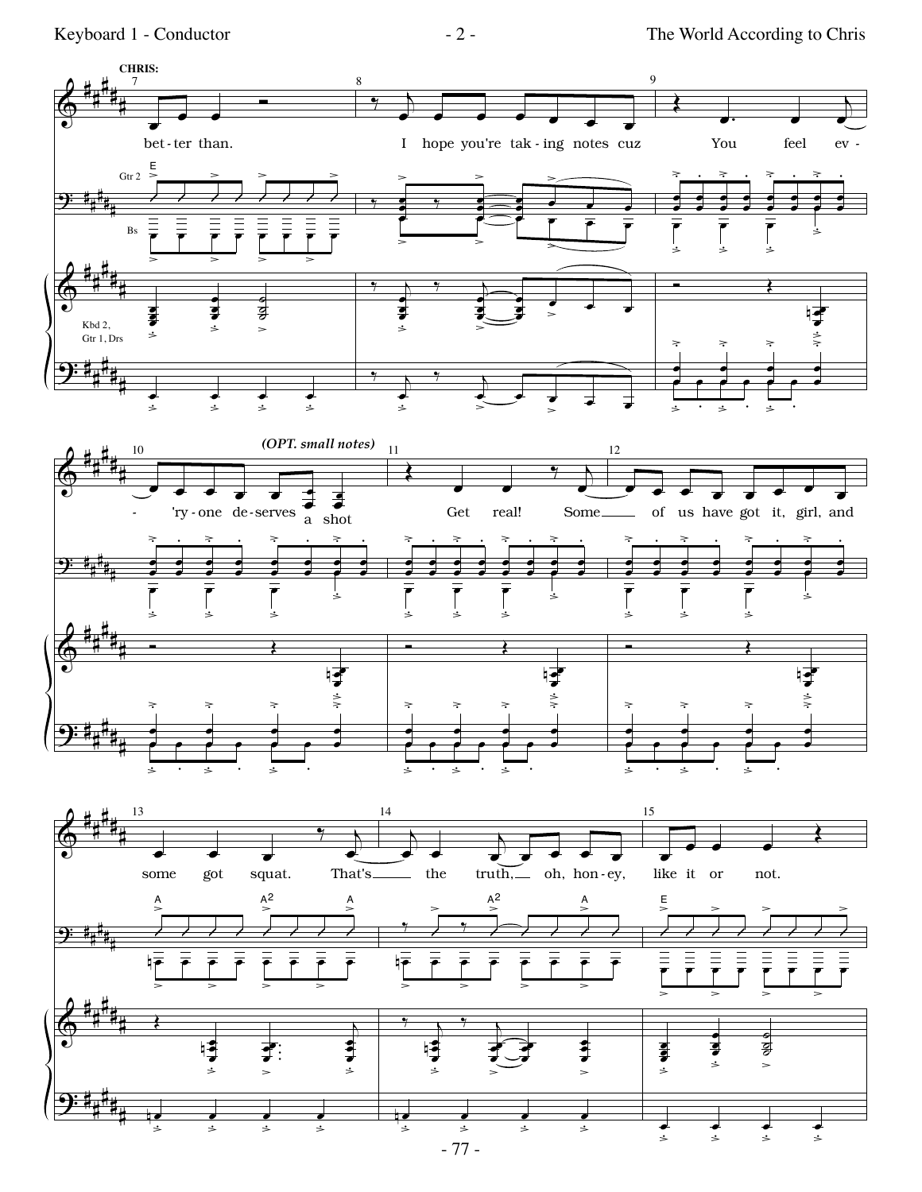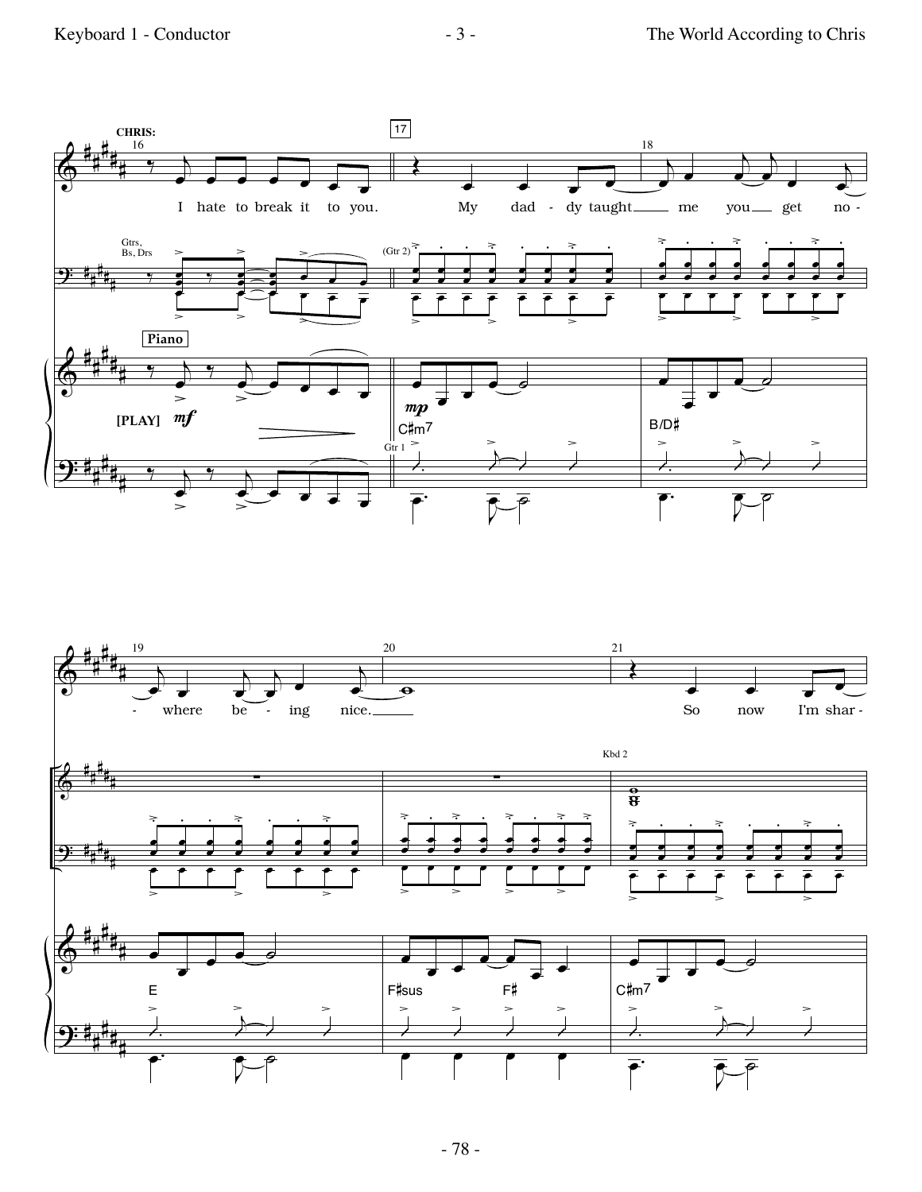



- 78 -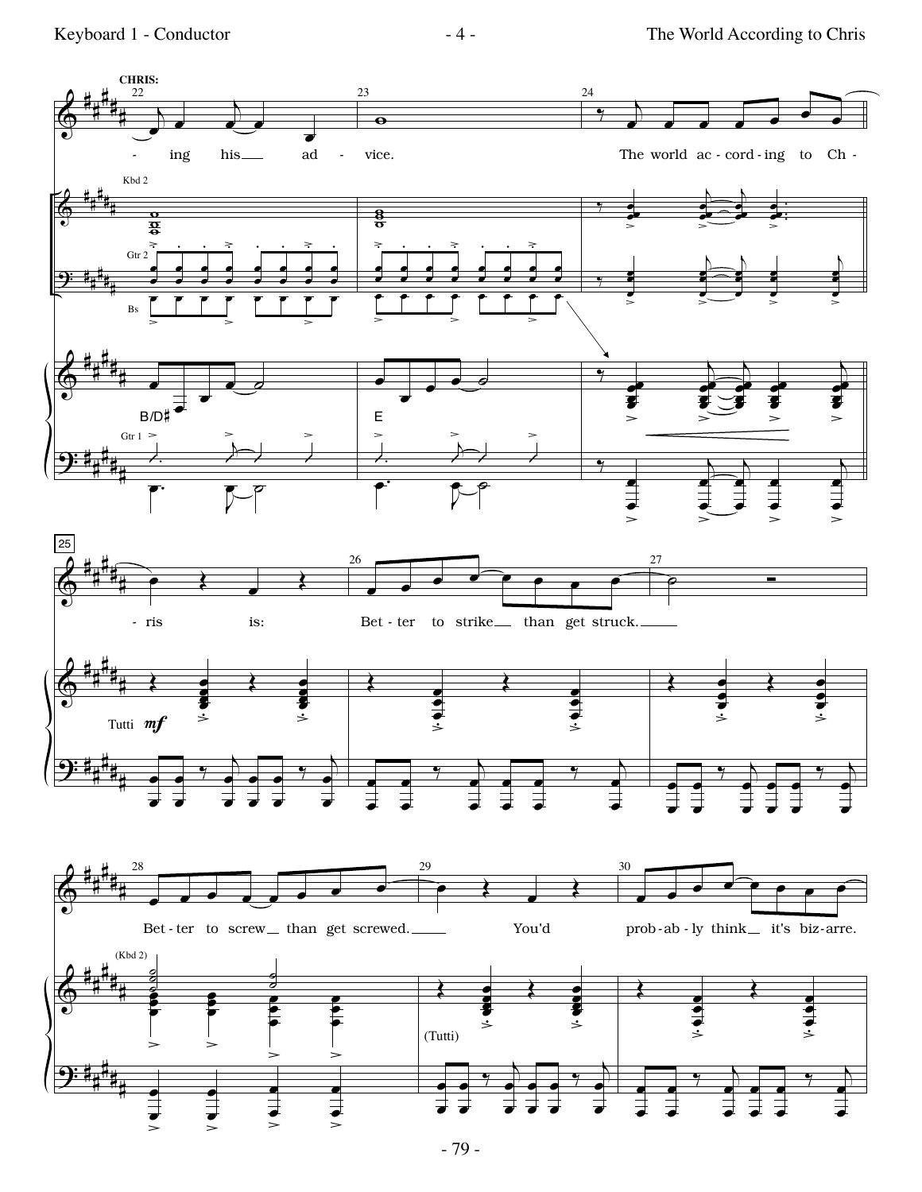

 $-4-$